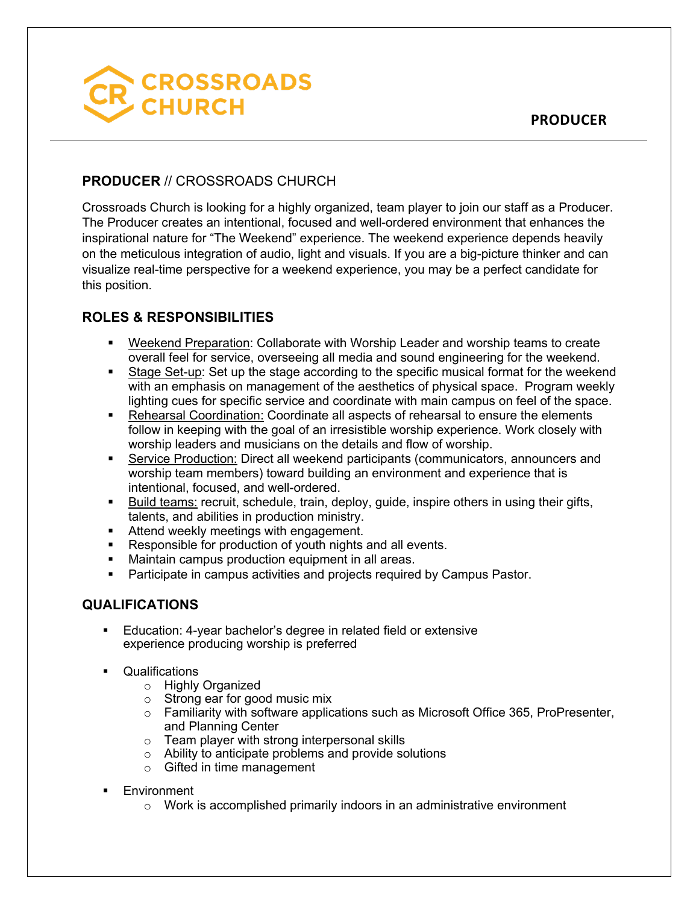

## **PRODUCER** // CROSSROADS CHURCH

Crossroads Church is looking for a highly organized, team player to join our staff as a Producer. The Producer creates an intentional, focused and well-ordered environment that enhances the inspirational nature for "The Weekend" experience. The weekend experience depends heavily on the meticulous integration of audio, light and visuals. If you are a big-picture thinker and can visualize real-time perspective for a weekend experience, you may be a perfect candidate for this position.

## **ROLES & RESPONSIBILITIES**

- § Weekend Preparation: Collaborate with Worship Leader and worship teams to create overall feel for service, overseeing all media and sound engineering for the weekend.
- Stage Set-up: Set up the stage according to the specific musical format for the weekend with an emphasis on management of the aesthetics of physical space. Program weekly lighting cues for specific service and coordinate with main campus on feel of the space.
- Rehearsal Coordination: Coordinate all aspects of rehearsal to ensure the elements follow in keeping with the goal of an irresistible worship experience. Work closely with worship leaders and musicians on the details and flow of worship.
- § Service Production: Direct all weekend participants (communicators, announcers and worship team members) toward building an environment and experience that is intentional, focused, and well-ordered.
- Build teams: recruit, schedule, train, deploy, guide, inspire others in using their gifts, talents, and abilities in production ministry.
- Attend weekly meetings with engagement.
- Responsible for production of youth nights and all events.
- Maintain campus production equipment in all areas.
- Participate in campus activities and projects required by Campus Pastor.

## **QUALIFICATIONS**

- Education: 4-year bachelor's degree in related field or extensive experience producing worship is preferred
- § Qualifications
	- o Highly Organized
	- o Strong ear for good music mix
	- $\circ$  Familiarity with software applications such as Microsoft Office 365, ProPresenter, and Planning Center
	- o Team player with strong interpersonal skills
	- o Ability to anticipate problems and provide solutions
	- o Gifted in time management
- Environment
	- o Work is accomplished primarily indoors in an administrative environment